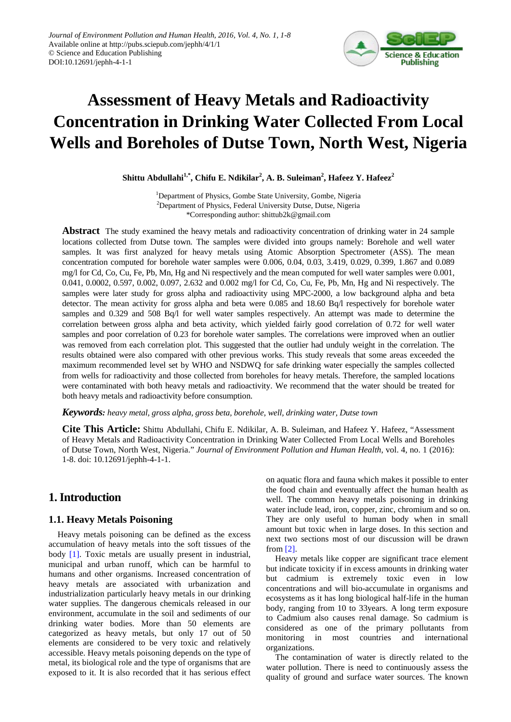

# **Assessment of Heavy Metals and Radioactivity Concentration in Drinking Water Collected From Local Wells and Boreholes of Dutse Town, North West, Nigeria**

 $\mathbf{Shiftu}$  Abdullahi $^{1,*},$  Chifu E. Ndikilar<sup>2</sup>, A. B. Suleiman<sup>2</sup>, Hafeez Y. Hafeez $^2$ 

<sup>1</sup>Department of Physics, Gombe State University, Gombe, Nigeria <sup>2</sup>Department of Physics, Federal University Dutse, Dutse, Nigeria \*Corresponding author: shittub2k@gmail.com

**Abstract** The study examined the heavy metals and radioactivity concentration of drinking water in 24 sample locations collected from Dutse town. The samples were divided into groups namely: Borehole and well water samples. It was first analyzed for heavy metals using Atomic Absorption Spectrometer (ASS). The mean concentration computed for borehole water samples were 0.006, 0.04, 0.03, 3.419, 0.029, 0.399, 1.867 and 0.089 mg/l for Cd, Co, Cu, Fe, Pb, Mn, Hg and Ni respectively and the mean computed for well water samples were 0.001, 0.041, 0.0002, 0.597, 0.002, 0.097, 2.632 and 0.002 mg/l for Cd, Co, Cu, Fe, Pb, Mn, Hg and Ni respectively. The samples were later study for gross alpha and radioactivity using MPC-2000, a low background alpha and beta detector. The mean activity for gross alpha and beta were 0.085 and 18.60 Bq/l respectively for borehole water samples and 0.329 and 508 Bq/l for well water samples respectively. An attempt was made to determine the correlation between gross alpha and beta activity, which yielded fairly good correlation of 0.72 for well water samples and poor correlation of 0.23 for borehole water samples. The correlations were improved when an outlier was removed from each correlation plot. This suggested that the outlier had unduly weight in the correlation. The results obtained were also compared with other previous works. This study reveals that some areas exceeded the maximum recommended level set by WHO and NSDWQ for safe drinking water especially the samples collected from wells for radioactivity and those collected from boreholes for heavy metals. Therefore, the sampled locations were contaminated with both heavy metals and radioactivity. We recommend that the water should be treated for both heavy metals and radioactivity before consumption.

*Keywords: heavy metal, gross alpha, gross beta, borehole, well, drinking water, Dutse town*

**Cite This Article:** Shittu Abdullahi, Chifu E. Ndikilar, A. B. Suleiman, and Hafeez Y. Hafeez, "Assessment of Heavy Metals and Radioactivity Concentration in Drinking Water Collected From Local Wells and Boreholes of Dutse Town, North West, Nigeria." *Journal of Environment Pollution and Human Health*, vol. 4, no. 1 (2016): 1-8. doi: 10.12691/jephh-4-1-1.

## **1. Introduction**

## **1.1. Heavy Metals Poisoning**

Heavy metals poisoning can be defined as the excess accumulation of heavy metals into the soft tissues of the body [\[1\].](#page-6-0) Toxic metals are usually present in industrial, municipal and urban runoff, which can be harmful to humans and other organisms. Increased concentration of heavy metals are associated with urbanization and industrialization particularly heavy metals in our drinking water supplies. The dangerous chemicals released in our environment, accumulate in the soil and sediments of our drinking water bodies. More than 50 elements are categorized as heavy metals, but only 17 out of 50 elements are considered to be very toxic and relatively accessible. Heavy metals poisoning depends on the type of metal, its biological role and the type of organisms that are exposed to it. It is also recorded that it has serious effect on aquatic flora and fauna which makes it possible to enter the food chain and eventually affect the human health as well. The common heavy metals poisoning in drinking water include lead, iron, copper, zinc, chromium and so on. They are only useful to human body when in small amount but toxic when in large doses. In this section and next two sections most of our discussion will be drawn from [\[2\].](#page-6-1)

Heavy metals like copper are significant trace element but indicate toxicity if in excess amounts in drinking water but cadmium is extremely toxic even in low concentrations and will bio-accumulate in organisms and ecosystems as it has long biological half-life in the human body, ranging from 10 to 33years. A long term exposure to Cadmium also causes renal damage. So cadmium is considered as one of the primary pollutants from monitoring in most countries and international organizations.

The contamination of water is directly related to the water pollution. There is need to continuously assess the quality of ground and surface water sources. The known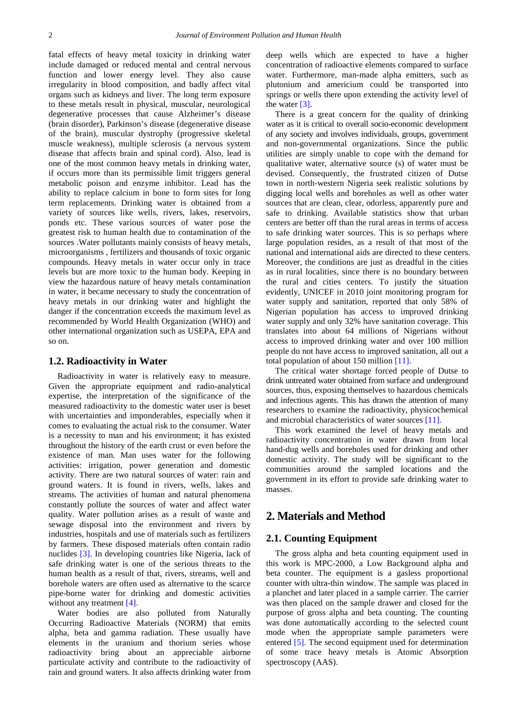fatal effects of heavy metal toxicity in drinking water include damaged or reduced mental and central nervous function and lower energy level. They also cause irregularity in blood composition, and badly affect vital organs such as kidneys and liver. The long term exposure to these metals result in physical, muscular, neurological degenerative processes that cause Alzheimer's disease (brain disorder), Parkinson's disease (degenerative disease of the brain), muscular dystrophy (progressive skeletal muscle weakness), multiple sclerosis (a nervous system disease that affects brain and spinal cord). Also, lead is one of the most common heavy metals in drinking water, if occurs more than its permissible limit triggers general metabolic poison and enzyme inhibitor. Lead has the ability to replace calcium in bone to form sites for long term replacements. Drinking water is obtained from a variety of sources like wells, rivers, lakes, reservoirs, ponds etc. These various sources of water pose the greatest risk to human health due to contamination of the sources .Water pollutants mainly consists of heavy metals, microorganisms , fertilizers and thousands of toxic organic compounds. Heavy metals in water occur only in trace levels but are more toxic to the human body. Keeping in view the hazardous nature of heavy metals contamination in water, it became necessary to study the concentration of heavy metals in our drinking water and highlight the danger if the concentration exceeds the maximum level as recommended by World Health Organization (WHO) and other international organization such as USEPA, EPA and so on.

#### **1.2. Radioactivity in Water**

Radioactivity in water is relatively easy to measure. Given the appropriate equipment and radio-analytical expertise, the interpretation of the significance of the measured radioactivity to the domestic water user is beset with uncertainties and imponderables, especially when it comes to evaluating the actual risk to the consumer. Water is a necessity to man and his environment; it has existed throughout the history of the earth crust or even before the existence of man. Man uses water for the following activities: irrigation, power generation and domestic activity. There are two natural sources of water: rain and ground waters. It is found in rivers, wells, lakes and streams. The activities of human and natural phenomena constantly pollute the sources of water and affect water quality. Water pollution arises as a result of waste and sewage disposal into the environment and rivers by industries, hospitals and use of materials such as fertilizers by farmers. These disposed materials often contain radio nuclides [\[3\].](#page-7-0) In developing countries like Nigeria, lack of safe drinking water is one of the serious threats to the human health as a result of that, rivers, streams, well and borehole waters are often used as alternative to the scarce pipe-borne water for drinking and domestic activities without any treatment [\[4\].](#page-7-1)

Water bodies are also polluted from Naturally Occurring Radioactive Materials (NORM) that emits alpha, beta and gamma radiation. These usually have elements in the uranium and thorium series whose radioactivity bring about an appreciable airborne particulate activity and contribute to the radioactivity of rain and ground waters. It also affects drinking water from deep wells which are expected to have a higher concentration of radioactive elements compared to surface water. Furthermore, man-made alpha emitters, such as plutonium and americium could be transported into springs or wells there upon extending the activity level of the water [\[3\].](#page-7-0)

There is a great concern for the quality of drinking water as it is critical to overall socio-economic development of any society and involves individuals, groups, government and non-governmental organizations. Since the public utilities are simply unable to cope with the demand for qualitative water, alternative source (s) of water must be devised. Consequently, the frustrated citizen of Dutse town in north-western Nigeria seek realistic solutions by digging local wells and boreholes as well as other water sources that are clean, clear, odorless, apparently pure and safe to drinking. Available statistics show that urban centers are better off than the rural areas in terms of access to safe drinking water sources. This is so perhaps where large population resides, as a result of that most of the national and international aids are directed to these centers. Moreover, the conditions are just as dreadful in the cities as in rural localities, since there is no boundary between the rural and cities centers. To justify the situation evidently, UNICEF in 2010 joint monitoring program for water supply and sanitation, reported that only 58% of Nigerian population has access to improved drinking water supply and only 32% have sanitation coverage. This translates into about 64 millions of Nigerians without access to improved drinking water and over 100 million people do not have access to improved sanitation, all out a total population of about 150 million [\[11\].](#page-7-2)

The critical water shortage forced people of Dutse to drink untreated water obtained from surface and underground sources, thus, exposing themselves to hazardous chemicals and infectious agents. This has drawn the attention of many researchers to examine the radioactivity, physicochemical and microbial characteristics of water sources [\[11\].](#page-7-2)

This work examined the level of heavy metals and radioactivity concentration in water drawn from local hand-dug wells and boreholes used for drinking and other domestic activity. The study will be significant to the communities around the sampled locations and the government in its effort to provide safe drinking water to masses.

## **2. Materials and Method**

#### **2.1. Counting Equipment**

The gross alpha and beta counting equipment used in this work is MPC-2000, a Low Background alpha and beta counter. The equipment is a gasless proportional counter with ultra-thin window. The sample was placed in a planchet and later placed in a sample carrier. The carrier was then placed on the sample drawer and closed for the purpose of gross alpha and beta counting. The counting was done automatically according to the selected count mode when the appropriate sample parameters were entered [\[5\].](#page-7-3) The second equipment used for determination of some trace heavy metals is Atomic Absorption spectroscopy (AAS).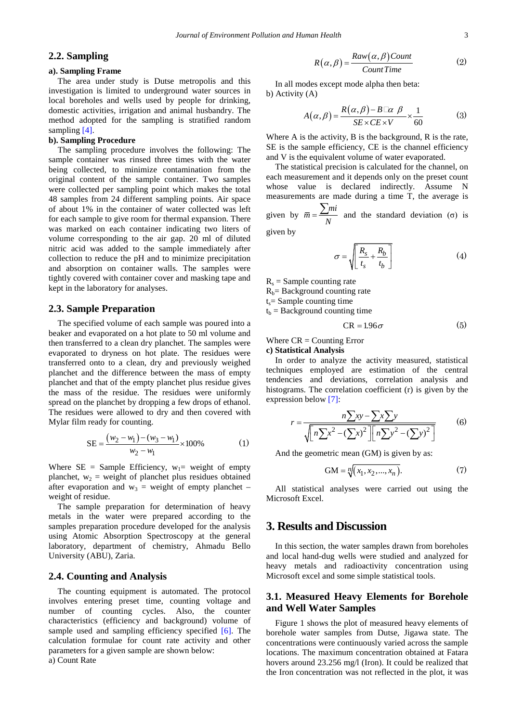### **2.2. Sampling**

#### **a). Sampling Frame**

The area under study is Dutse metropolis and this investigation is limited to underground water sources in local boreholes and wells used by people for drinking, domestic activities, irrigation and animal husbandry. The method adopted for the sampling is stratified random sampling [\[4\].](#page-7-1)

#### **b). Sampling Procedure**

The sampling procedure involves the following: The sample container was rinsed three times with the water being collected, to minimize contamination from the original content of the sample container. Two samples were collected per sampling point which makes the total 48 samples from 24 different sampling points. Air space of about 1% in the container of water collected was left for each sample to give room for thermal expansion. There was marked on each container indicating two liters of volume corresponding to the air gap. 20 ml of diluted nitric acid was added to the sample immediately after collection to reduce the pH and to minimize precipitation and absorption on container walls. The samples were tightly covered with container cover and masking tape and kept in the laboratory for analyses.

#### **2.3. Sample Preparation**

The specified volume of each sample was poured into a beaker and evaporated on a hot plate to 50 ml volume and then transferred to a clean dry planchet. The samples were evaporated to dryness on hot plate. The residues were transferred onto to a clean, dry and previously weighed planchet and the difference between the mass of empty planchet and that of the empty planchet plus residue gives the mass of the residue. The residues were uniformly spread on the planchet by dropping a few drops of ethanol. The residues were allowed to dry and then covered with Mylar film ready for counting.

SE = 
$$
\frac{(w_2 - w_1) - (w_3 - w_1)}{w_2 - w_1} \times 100\%
$$
 (1)

Where  $SE = Sample Efficiency$ ,  $w_1 = weight of empty$ planchet,  $w_2$  = weight of planchet plus residues obtained after evaporation and  $w_3$  = weight of empty planchet – weight of residue.

The sample preparation for determination of heavy metals in the water were prepared according to the samples preparation procedure developed for the analysis using Atomic Absorption Spectroscopy at the general laboratory, department of chemistry, Ahmadu Bello University (ABU), Zaria.

#### **2.4. Counting and Analysis**

The counting equipment is automated. The protocol involves entering preset time, counting voltage and number of counting cycles. Also, the counter characteristics (efficiency and background) volume of sample used and sampling efficiency specified [\[6\].](#page-7-4) The calculation formulae for count rate activity and other parameters for a given sample are shown below: a) Count Rate

$$
R(\alpha, \beta) = \frac{Raw(\alpha, \beta) Count}{Count Time}
$$
 (2)

In all modes except mode alpha then beta: b) Activity (A)

$$
A(\alpha, \beta) = \frac{R(\alpha, \beta) - B \Box \alpha \beta}{SE \times CE \times V} \times \frac{1}{60}
$$
 (3)

Where A is the activity, B is the background, R is the rate, SE is the sample efficiency, CE is the channel efficiency and V is the equivalent volume of water evaporated.

The statistical precision is calculated for the channel, on each measurement and it depends only on the preset count whose value is declared indirectly. Assume N measurements are made during a time T, the average is given by  $\overline{m} = \frac{\sum m i}{N}$  and the standard deviation ( $\sigma$ ) is

given by

$$
\sigma = \sqrt{\left[\frac{R_s}{t_s} + \frac{R_b}{t_b}\right]}
$$
 (4)

 $R_s$  = Sample counting rate

 $R_b$ = Background counting rate

 $t_s$ = Sample counting time

 $t<sub>b</sub>$  = Background counting time

$$
CR = 1.96\sigma \tag{5}
$$

Where  $CR =$  Counting Error

#### **c) Statistical Analysis**

In order to analyze the activity measured, statistical techniques employed are estimation of the central tendencies and deviations, correlation analysis and histograms. The correlation coefficient (r) is given by the expression below [\[7\]:](#page-7-5)

$$
r = \frac{n\sum xy - \sum x \sum y}{\sqrt{\left[n\sum x^2 - (\sum x)^2\right]\left[n\sum y^2 - (\sum y)^2\right]}}
$$
(6)

And the geometric mean (GM) is given by as:

$$
GM = \sqrt[n]{(x_1, x_2, ..., x_n)}.
$$
 (7)

All statistical analyses were carried out using the Microsoft Excel.

## **3. Results and Discussion**

In this section, the water samples drawn from boreholes and local hand-dug wells were studied and analyzed for heavy metals and radioactivity concentration using Microsoft excel and some simple statistical tools.

## **3.1. Measured Heavy Elements for Borehole and Well Water Samples**

Figure 1 shows the plot of measured heavy elements of borehole water samples from Dutse, Jigawa state. The concentrations were continuously varied across the sample locations. The maximum concentration obtained at Fatara hovers around 23.256 mg/l (Iron). It could be realized that the Iron concentration was not reflected in the plot, it was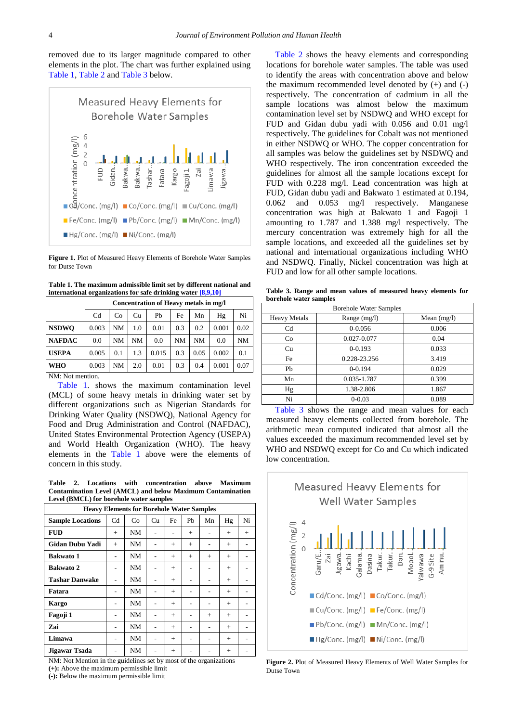removed due to its larger magnitude compared to other elements in the plot. The chart was further explained using [Table 1,](#page-3-0) [Table 2](#page-3-1) and [Table 3](#page-3-2) below.



**Figure 1.** Plot of Measured Heavy Elements of Borehole Water Samples for Dutse Town

**Table 1. The maximum admissible limit set by different national and international organizations for safe drinking water [\[8,9,10\]](#page-7-6)**

<span id="page-3-0"></span>

|                  | Concentration of Heavy metals in mg/l        |     |     |       |           |      |       |      |  |
|------------------|----------------------------------------------|-----|-----|-------|-----------|------|-------|------|--|
|                  | Cd<br>Co<br>Ph<br>Ni<br>Cu<br>Fe<br>Hg<br>Mn |     |     |       |           |      |       |      |  |
| <b>NSDWO</b>     | 0.003                                        | NΜ  | 1.0 | 0.01  | 0.3       | 0.2  | 0.001 | 0.02 |  |
| <b>NAFDAC</b>    | 0.0                                          | NM  | NM  | 0.0   | <b>NM</b> | NM   | 0.0   | NM   |  |
| <b>USEPA</b>     | 0.005                                        | 0.1 | 1.3 | 0.015 | 0.3       | 0.05 | 0.002 | 0.1  |  |
| <b>WHO</b>       | 0.003                                        | NM  | 2.0 | 0.01  | 0.3       | 0.4  | 0.001 | 0.07 |  |
| NM: Not mention. |                                              |     |     |       |           |      |       |      |  |

NM: Not mention.

[Table 1.](#page-3-0) shows the maximum contamination level (MCL) of some heavy metals in drinking water set by different organizations such as Nigerian Standards for Drinking Water Quality (NSDWQ), National Agency for Food and Drug Administration and Control (NAFDAC), United States Environmental Protection Agency (USEPA) and World Health Organization (WHO). The heavy elements in the [Table 1](#page-3-0) above were the elements of concern in this study.

**Table 2. Locations with concentration above Maximum Contamination Level (AMCL) and below Maximum Contamination Level (BMCL) for borehole water samples**

<span id="page-3-1"></span>

| <b>Heavy Elements for Borehole Water Samples</b> |                |    |    |        |        |        |        |        |
|--------------------------------------------------|----------------|----|----|--------|--------|--------|--------|--------|
| <b>Sample Locations</b>                          | Cd             | Co | Cu | Fe     | Ph     | Mn     | Hg     | Ni     |
| <b>FUD</b>                                       | $+$            | NM |    |        | $^{+}$ |        | $^{+}$ | $^{+}$ |
| <b>Gidan Dubu Yadi</b>                           | $+$            | NΜ |    | $^{+}$ | $+$    | -      | $^{+}$ |        |
| <b>Bakwato 1</b>                                 |                | NΜ |    | $^{+}$ | $^{+}$ | $^{+}$ | $^{+}$ |        |
| <b>Bakwato 2</b>                                 |                | NΜ |    | $^{+}$ |        |        | $^{+}$ |        |
| <b>Tashar Danwake</b>                            |                | NΜ |    | $+$    |        |        | $^{+}$ |        |
| Fatara                                           |                | NΜ |    | $^{+}$ |        |        | $+$    |        |
| <b>Kargo</b>                                     |                | NΜ |    | $^{+}$ | ۰      |        | $^{+}$ |        |
| Fagoji 1                                         | ٠              | NΜ |    | $^{+}$ |        | $+$    | $^{+}$ |        |
| Zai                                              |                | NΜ |    | $^{+}$ |        |        | $^{+}$ |        |
| Limawa                                           |                | NΜ |    | $+$    |        |        | $^{+}$ |        |
| Jigawar Tsada                                    | $\overline{a}$ | NΜ | ۰  | $^{+}$ | ۰      |        | $+$    |        |

NM: Not Mention in the guidelines set by most of the organizations **(+):** Above the maximum permissible limit **(-):** Below the maximum permissible limit

[Table 2](#page-3-1) shows the heavy elements and corresponding locations for borehole water samples. The table was used to identify the areas with concentration above and below the maximum recommended level denoted by  $(+)$  and  $(-)$ respectively. The concentration of cadmium in all the sample locations was almost below the maximum contamination level set by NSDWQ and WHO except for FUD and Gidan dubu yadi with 0.056 and 0.01 mg/l respectively. The guidelines for Cobalt was not mentioned in either NSDWQ or WHO. The copper concentration for all samples was below the guidelines set by NSDWQ and WHO respectively. The iron concentration exceeded the guidelines for almost all the sample locations except for FUD with 0.228 mg/l. Lead concentration was high at FUD, Gidan dubu yadi and Bakwato 1 estimated at 0.194, 0.062 and 0.053 mg/l respectively. Manganese concentration was high at Bakwato 1 and Fagoji 1 amounting to 1.787 and 1.388 mg/l respectively. The mercury concentration was extremely high for all the sample locations, and exceeded all the guidelines set by national and international organizations including WHO and NSDWQ. Finally, Nickel concentration was high at FUD and low for all other sample locations.

**Table 3. Range and mean values of measured heavy elements for borehole water samples**

<span id="page-3-2"></span>

| <b>Borehole Water Samples</b> |              |               |  |  |  |  |  |
|-------------------------------|--------------|---------------|--|--|--|--|--|
| <b>Heavy Metals</b>           | Range (mg/l) | Mean $(mg/l)$ |  |  |  |  |  |
| Cd                            | $0 - 0.056$  | 0.006         |  |  |  |  |  |
| Co                            | 0.027-0.077  | 0.04          |  |  |  |  |  |
| Cu                            | $0 - 0.193$  | 0.033         |  |  |  |  |  |
| Fe                            | 0.228-23.256 | 3.419         |  |  |  |  |  |
| Pb                            | $0 - 0.194$  | 0.029         |  |  |  |  |  |
| Mn                            | 0.035-1.787  | 0.399         |  |  |  |  |  |
| Hg                            | 1.38-2.806   | 1.867         |  |  |  |  |  |
| Ni                            | $0 - 0.03$   | 0.089         |  |  |  |  |  |

[Table 3](#page-3-2) shows the range and mean values for each measured heavy elements collected from borehole. The arithmetic mean computed indicated that almost all the values exceeded the maximum recommended level set by WHO and NSDWQ except for Co and Cu which indicated low concentration.



**Figure 2.** Plot of Measured Heavy Elements of Well Water Samples for Dutse Town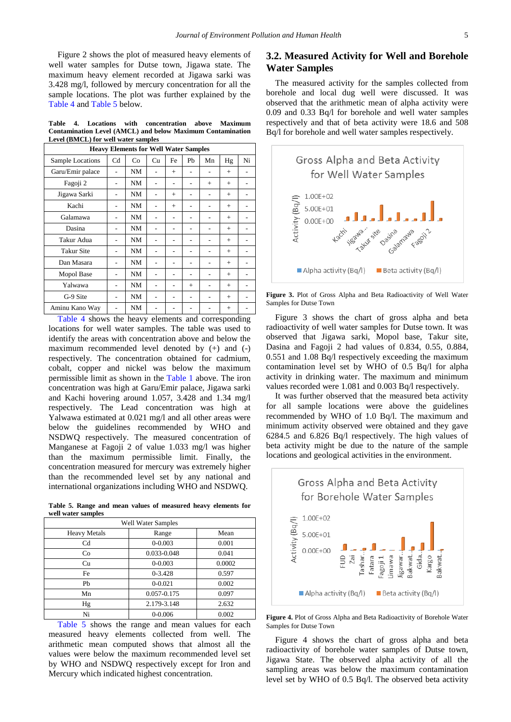Figure 2 shows the plot of measured heavy elements of well water samples for Dutse town, Jigawa state. The maximum heavy element recorded at Jigawa sarki was 3.428 mg/l, followed by mercury concentration for all the sample locations. The plot was further explained by the [Table 4](#page-4-0) and [Table 5](#page-4-1) below.

**Table 4. Locations with concentration above Maximum Contamination Level (AMCL) and below Maximum Contamination Level (BMCL) for well water samples**

<span id="page-4-0"></span>

| <b>Heavy Elements for Well Water Samples</b>                                           |    |    |    |     |     |     |        |    |
|----------------------------------------------------------------------------------------|----|----|----|-----|-----|-----|--------|----|
| Sample Locations                                                                       | Cd | Co | Cu | Fe  | Pb  | Mn  | Hg     | Ni |
| Garu/Emir palace                                                                       |    | NM |    | $+$ |     |     | $^{+}$ |    |
| Fagoji 2                                                                               |    | NM |    | ۰   | ٠   | $+$ | $+$    |    |
| Jigawa Sarki                                                                           |    | NM |    | $+$ |     |     | $^{+}$ |    |
| Kachi                                                                                  |    | NM |    | $+$ |     |     | $+$    |    |
| Galamawa                                                                               |    | NM |    | ٠   |     |     | $^{+}$ |    |
| Dasina                                                                                 |    | NM |    |     |     |     | $+$    |    |
| Takur Adua                                                                             |    | NM |    |     |     |     | $^{+}$ |    |
| <b>Takur Site</b>                                                                      |    | NM |    |     |     |     | $^{+}$ |    |
| Dan Masara                                                                             |    | NM |    |     |     |     | $^{+}$ |    |
| Mopol Base                                                                             |    | NM |    |     |     |     | $+$    |    |
| Yalwawa                                                                                |    | NM |    |     | $+$ |     | $+$    |    |
| G-9 Site                                                                               |    | NM |    |     |     |     | $+$    |    |
| Aminu Kano Way                                                                         |    | NM |    |     |     |     | $^{+}$ |    |
| $\cdot$<br>$-11111$<br>$\cdot$ 1<br>1.<br>$\blacksquare$<br>$\mathbf{1}$<br>$\epsilon$ |    |    |    |     |     |     |        |    |

[Table 4](#page-4-0) shows the heavy elements and corresponding locations for well water samples. The table was used to identify the areas with concentration above and below the maximum recommended level denoted by (+) and (-) respectively. The concentration obtained for cadmium, cobalt, copper and nickel was below the maximum permissible limit as shown in the [Table 1](#page-3-0) above. The iron concentration was high at Garu/Emir palace, Jigawa sarki and Kachi hovering around 1.057, 3.428 and 1.34 mg/l respectively. The Lead concentration was high at Yalwawa estimated at 0.021 mg/l and all other areas were below the guidelines recommended by WHO and NSDWQ respectively. The measured concentration of Manganese at Fagoji 2 of value 1.033 mg/l was higher than the maximum permissible limit. Finally, the concentration measured for mercury was extremely higher than the recommended level set by any national and international organizations including WHO and NSDWQ.

**Table 5. Range and mean values of measured heavy elements for well water samples**

<span id="page-4-1"></span>

| <b>Well Water Samples</b> |             |        |  |  |  |  |
|---------------------------|-------------|--------|--|--|--|--|
| <b>Heavy Metals</b>       | Range       | Mean   |  |  |  |  |
| Cd                        | $0 - 0.003$ | 0.001  |  |  |  |  |
| Co                        | 0.033-0.048 | 0.041  |  |  |  |  |
| Cu                        | $0 - 0.003$ | 0.0002 |  |  |  |  |
| <b>Fe</b>                 | $0-3.428$   | 0.597  |  |  |  |  |
| Ph                        | $0 - 0.021$ | 0.002  |  |  |  |  |
| Mn                        | 0.057-0.175 | 0.097  |  |  |  |  |
| Hg                        | 2.179-3.148 | 2.632  |  |  |  |  |
| Ni                        | $0 - 0.006$ | 0.002  |  |  |  |  |

[Table 5](#page-4-1) shows the range and mean values for each measured heavy elements collected from well. The arithmetic mean computed shows that almost all the values were below the maximum recommended level set by WHO and NSDWQ respectively except for Iron and Mercury which indicated highest concentration.

## **3.2. Measured Activity for Well and Borehole Water Samples**

The measured activity for the samples collected from borehole and local dug well were discussed. It was observed that the arithmetic mean of alpha activity were 0.09 and 0.33 Bq/l for borehole and well water samples respectively and that of beta activity were 18.6 and 508 Bq/l for borehole and well water samples respectively.



**Figure 3.** Plot of Gross Alpha and Beta Radioactivity of Well Water Samples for Dutse Town

Figure 3 shows the chart of gross alpha and beta radioactivity of well water samples for Dutse town. It was observed that Jigawa sarki, Mopol base, Takur site, Dasina and Fagoji 2 had values of 0.834, 0.55, 0.884, 0.551 and 1.08 Bq/l respectively exceeding the maximum contamination level set by WHO of 0.5 Bq/l for alpha activity in drinking water. The maximum and minimum values recorded were 1.081 and 0.003 Bq/l respectively.

It was further observed that the measured beta activity for all sample locations were above the guidelines recommended by WHO of 1.0 Bq/l. The maximum and minimum activity observed were obtained and they gave 6284.5 and 6.826 Bq/l respectively. The high values of beta activity might be due to the nature of the sample locations and geological activities in the environment.





Figure 4 shows the chart of gross alpha and beta radioactivity of borehole water samples of Dutse town, Jigawa State. The observed alpha activity of all the sampling areas was below the maximum contamination level set by WHO of 0.5 Bq/l. The observed beta activity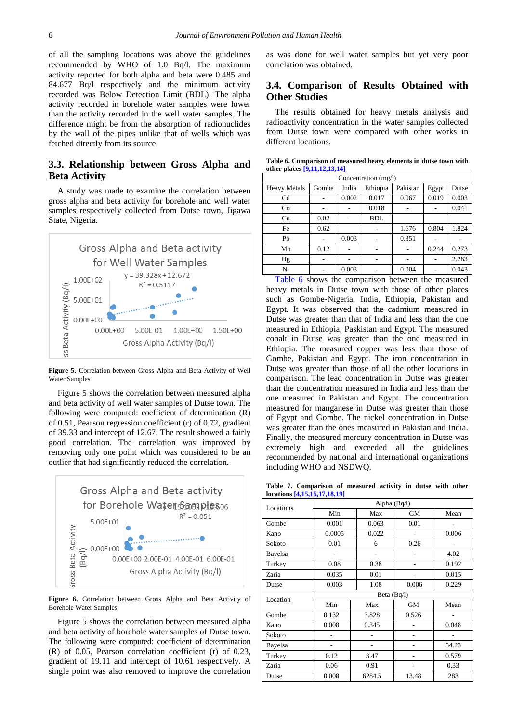of all the sampling locations was above the guidelines recommended by WHO of 1.0 Bq/l. The maximum activity reported for both alpha and beta were 0.485 and 84.677 Bq/l respectively and the minimum activity recorded was Below Detection Limit (BDL). The alpha activity recorded in borehole water samples were lower than the activity recorded in the well water samples. The difference might be from the absorption of radionuclides by the wall of the pipes unlike that of wells which was fetched directly from its source.

## **3.3. Relationship between Gross Alpha and Beta Activity**

A study was made to examine the correlation between gross alpha and beta activity for borehole and well water samples respectively collected from Dutse town, Jigawa State, Nigeria.



**Figure 5.** Correlation between Gross Alpha and Beta Activity of Well Water Samples

Figure 5 shows the correlation between measured alpha and beta activity of well water samples of Dutse town. The following were computed: coefficient of determination (R) of 0.51, Pearson regression coefficient (r) of 0.72, gradient of 39.33 and intercept of 12.67. The result showed a fairly good correlation. The correlation was improved by removing only one point which was considered to be an outlier that had significantly reduced the correlation.



**Figure 6.** Correlation between Gross Alpha and Beta Activity of Borehole Water Samples

Figure 5 shows the correlation between measured alpha and beta activity of borehole water samples of Dutse town. The following were computed: coefficient of determination (R) of 0.05, Pearson correlation coefficient (r) of 0.23, gradient of 19.11 and intercept of 10.61 respectively. A single point was also removed to improve the correlation

as was done for well water samples but yet very poor correlation was obtained.

## **3.4. Comparison of Results Obtained with Other Studies**

The results obtained for heavy metals analysis and radioactivity concentration in the water samples collected from Dutse town were compared with other works in different locations.

|  |                                |  | Table 6. Comparison of measured heavy elements in dutse town with |  |  |
|--|--------------------------------|--|-------------------------------------------------------------------|--|--|
|  | other places $[9,11,12,13,14]$ |  |                                                                   |  |  |

<span id="page-5-0"></span>

| Concentration (mg/l) |       |       |            |          |       |       |  |  |
|----------------------|-------|-------|------------|----------|-------|-------|--|--|
| <b>Heavy Metals</b>  | Gombe | India | Ethiopia   | Pakistan | Egypt | Dutse |  |  |
| C <sub>d</sub>       |       | 0.002 | 0.017      | 0.067    | 0.019 | 0.003 |  |  |
| Co                   |       |       | 0.018      |          |       | 0.041 |  |  |
| Cu                   | 0.02  |       | <b>BDL</b> |          |       |       |  |  |
| Fe                   | 0.62  |       |            | 1.676    | 0.804 | 1.824 |  |  |
| Pb                   |       | 0.003 |            | 0.351    |       |       |  |  |
| Mn                   | 0.12  |       | ۰          |          | 0.244 | 0.273 |  |  |
| Hg                   |       |       |            |          |       | 2.283 |  |  |
| Ni                   |       | 0.003 |            | 0.004    |       | 0.043 |  |  |

[Table 6](#page-5-0) shows the comparison between the measured heavy metals in Dutse town with those of other places such as Gombe-Nigeria, India, Ethiopia, Pakistan and Egypt. It was observed that the cadmium measured in Dutse was greater than that of India and less than the one measured in Ethiopia, Paskistan and Egypt. The measured cobalt in Dutse was greater than the one measured in Ethiopia. The measured copper was less than those of Gombe, Pakistan and Egypt. The iron concentration in Dutse was greater than those of all the other locations in comparison. The lead concentration in Dutse was greater than the concentration measured in India and less than the one measured in Pakistan and Egypt. The concentration measured for manganese in Dutse was greater than those of Egypt and Gombe. The nickel concentration in Dutse was greater than the ones measured in Pakistan and India. Finally, the measured mercury concentration in Dutse was extremely high and exceeded all the guidelines recommended by national and international organizations including WHO and NSDWQ.

**Table 7. Comparison of measured activity in dutse with other locations [\[4,15,16,17,18,19\]](#page-7-1)**

<span id="page-5-1"></span>

| Locations | Alpha $(Bq/l)$  |        |           |       |  |  |  |  |
|-----------|-----------------|--------|-----------|-------|--|--|--|--|
|           | Min             | Max    | <b>GM</b> | Mean  |  |  |  |  |
| Gombe     | 0.001           | 0.063  | 0.01      |       |  |  |  |  |
| Kano      | 0.0005          | 0.022  |           | 0.006 |  |  |  |  |
| Sokoto    | 0.01            | 6      | 0.26      |       |  |  |  |  |
| Bayelsa   |                 |        |           | 4.02  |  |  |  |  |
| Turkey    | 0.08            | 0.38   |           | 0.192 |  |  |  |  |
| Zaria     | 0.035           | 0.01   |           | 0.015 |  |  |  |  |
| Dutse     | 0.003           | 1.08   | 0.006     | 0.229 |  |  |  |  |
| Location  | Beta (Bq/l)     |        |           |       |  |  |  |  |
|           | Min             | Max    | <b>GM</b> | Mean  |  |  |  |  |
| Gombe     | 0.132           | 3.828  | 0.526     |       |  |  |  |  |
| Kano      | 0.008           | 0.345  |           | 0.048 |  |  |  |  |
| Sokoto    |                 |        |           |       |  |  |  |  |
| Bayelsa   | $\qquad \qquad$ | -      |           | 54.23 |  |  |  |  |
| Turkey    | 0.12            | 3.47   |           | 0.579 |  |  |  |  |
| Zaria     | 0.06            | 0.91   | ۰         | 0.33  |  |  |  |  |
| Dutse     | 0.008           | 6284.5 | 13.48     | 283   |  |  |  |  |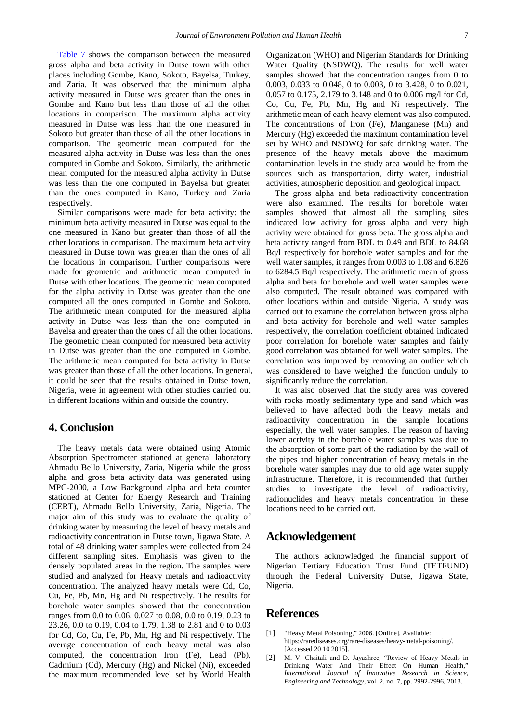[Table 7](#page-5-1) shows the comparison between the measured gross alpha and beta activity in Dutse town with other places including Gombe, Kano, Sokoto, Bayelsa, Turkey, and Zaria. It was observed that the minimum alpha activity measured in Dutse was greater than the ones in Gombe and Kano but less than those of all the other locations in comparison. The maximum alpha activity measured in Dutse was less than the one measured in Sokoto but greater than those of all the other locations in comparison. The geometric mean computed for the measured alpha activity in Dutse was less than the ones computed in Gombe and Sokoto. Similarly, the arithmetic mean computed for the measured alpha activity in Dutse was less than the one computed in Bayelsa but greater than the ones computed in Kano, Turkey and Zaria respectively.

Similar comparisons were made for beta activity: the minimum beta activity measured in Dutse was equal to the one measured in Kano but greater than those of all the other locations in comparison. The maximum beta activity measured in Dutse town was greater than the ones of all the locations in comparison. Further comparisons were made for geometric and arithmetic mean computed in Dutse with other locations. The geometric mean computed for the alpha activity in Dutse was greater than the one computed all the ones computed in Gombe and Sokoto. The arithmetic mean computed for the measured alpha activity in Dutse was less than the one computed in Bayelsa and greater than the ones of all the other locations. The geometric mean computed for measured beta activity in Dutse was greater than the one computed in Gombe. The arithmetic mean computed for beta activity in Dutse was greater than those of all the other locations. In general, it could be seen that the results obtained in Dutse town, Nigeria, were in agreement with other studies carried out in different locations within and outside the country.

## **4. Conclusion**

The heavy metals data were obtained using Atomic Absorption Spectrometer stationed at general laboratory Ahmadu Bello University, Zaria, Nigeria while the gross alpha and gross beta activity data was generated using MPC-2000, a Low Background alpha and beta counter stationed at Center for Energy Research and Training (CERT), Ahmadu Bello University, Zaria, Nigeria. The major aim of this study was to evaluate the quality of drinking water by measuring the level of heavy metals and radioactivity concentration in Dutse town, Jigawa State. A total of 48 drinking water samples were collected from 24 different sampling sites. Emphasis was given to the densely populated areas in the region. The samples were studied and analyzed for Heavy metals and radioactivity concentration. The analyzed heavy metals were Cd, Co, Cu, Fe, Pb, Mn, Hg and Ni respectively. The results for borehole water samples showed that the concentration ranges from 0.0 to 0.06, 0.027 to 0.08, 0.0 to 0.19, 0.23 to 23.26, 0.0 to 0.19, 0.04 to 1.79, 1.38 to 2.81 and 0 to 0.03 for Cd, Co, Cu, Fe, Pb, Mn, Hg and Ni respectively. The average concentration of each heavy metal was also computed, the concentration Iron (Fe), Lead (Pb), Cadmium (Cd), Mercury (Hg) and Nickel (Ni), exceeded the maximum recommended level set by World Health Organization (WHO) and Nigerian Standards for Drinking Water Quality (NSDWQ). The results for well water samples showed that the concentration ranges from 0 to 0.003, 0.033 to 0.048, 0 to 0.003, 0 to 3.428, 0 to 0.021, 0.057 to 0.175, 2.179 to 3.148 and 0 to 0.006 mg/l for Cd, Co, Cu, Fe, Pb, Mn, Hg and Ni respectively. The arithmetic mean of each heavy element was also computed. The concentrations of Iron (Fe), Manganese (Mn) and Mercury (Hg) exceeded the maximum contamination level set by WHO and NSDWQ for safe drinking water. The presence of the heavy metals above the maximum contamination levels in the study area would be from the sources such as transportation, dirty water, industrial activities, atmospheric deposition and geological impact.

The gross alpha and beta radioactivity concentration were also examined. The results for borehole water samples showed that almost all the sampling sites indicated low activity for gross alpha and very high activity were obtained for gross beta. The gross alpha and beta activity ranged from BDL to 0.49 and BDL to 84.68 Bq/l respectively for borehole water samples and for the well water samples, it ranges from 0.003 to 1.08 and 6.826 to 6284.5 Bq/l respectively. The arithmetic mean of gross alpha and beta for borehole and well water samples were also computed. The result obtained was compared with other locations within and outside Nigeria. A study was carried out to examine the correlation between gross alpha and beta activity for borehole and well water samples respectively, the correlation coefficient obtained indicated poor correlation for borehole water samples and fairly good correlation was obtained for well water samples. The correlation was improved by removing an outlier which was considered to have weighed the function unduly to significantly reduce the correlation.

It was also observed that the study area was covered with rocks mostly sedimentary type and sand which was believed to have affected both the heavy metals and radioactivity concentration in the sample locations especially, the well water samples. The reason of having lower activity in the borehole water samples was due to the absorption of some part of the radiation by the wall of the pipes and higher concentration of heavy metals in the borehole water samples may due to old age water supply infrastructure. Therefore, it is recommended that further studies to investigate the level of radioactivity, radionuclides and heavy metals concentration in these locations need to be carried out.

## **Acknowledgement**

The authors acknowledged the financial support of Nigerian Tertiary Education Trust Fund (TETFUND) through the Federal University Dutse, Jigawa State, Nigeria.

## **References**

- <span id="page-6-0"></span>[1] "Heavy Metal Poisoning," 2006. [Online]. Available: https://rarediseases.org/rare-diseases/heavy-metal-poisoning/. [Accessed 20 10 2015].
- <span id="page-6-1"></span>[2] M. V. Chaitali and D. Jayashree, "Review of Heavy Metals in Drinking Water And Their Effect On Human Health," *International Journal of Innovative Research in Science, Engineering and Technology,* vol. 2, no. 7, pp. 2992-2996, 2013.